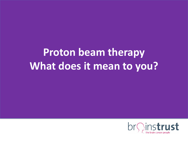# **Proton beam therapy What does it mean to you?**

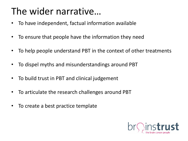## The wider narrative…

- To have independent, factual information available
- To ensure that people have the information they need
- To help people understand PBT in the context of other treatments
- To dispel myths and misunderstandings around PBT
- To build trust in PBT and clinical judgement
- To articulate the research challenges around PBT
- To create a best practice template

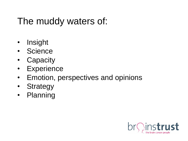### The muddy waters of:

- Insight
- Science
- Capacity
- Experience
- Emotion, perspectives and opinions
- Strategy
- Planning

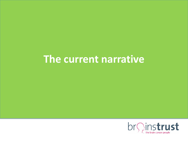### **The current narrative**

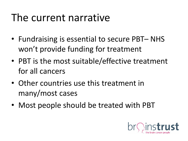## The current narrative

- Fundraising is essential to secure PBT– NHS won't provide funding for treatment
- PBT is the most suitable/effective treatment for all cancers
- Other countries use this treatment in many/most cases
- Most people should be treated with PBT

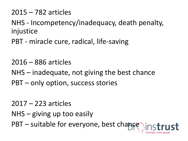2015 – 782 articles

NHS - Incompetency/inadequacy, death penalty, injustice

PBT - miracle cure, radical, life-saving

2016 – 886 articles

NHS – inadequate, not giving the best chance PBT – only option, success stories

2017 – 223 articles

NHS – giving up too easily

 $PBT$  – suitable for everyone, best chance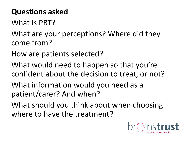#### **Questions asked**

What is PBT?

What are your perceptions? Where did they come from?

How are patients selected?

What would need to happen so that you're confident about the decision to treat, or not?

What information would you need as a patient/carer? And when?

What should you think about when choosing where to have the treatment?

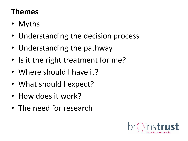#### **Themes**

- Myths
- Understanding the decision process
- Understanding the pathway
- Is it the right treatment for me?
- Where should I have it?
- What should I expect?
- How does it work?
- The need for research

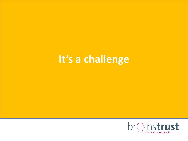## **It's a challenge**

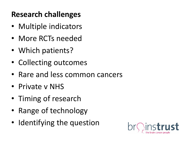#### **Research challenges**

- Multiple indicators
- More RCTs needed
- Which patients?
- Collecting outcomes
- Rare and less common cancers
- Private v NHS
- Timing of research
- Range of technology
- Identifying the question